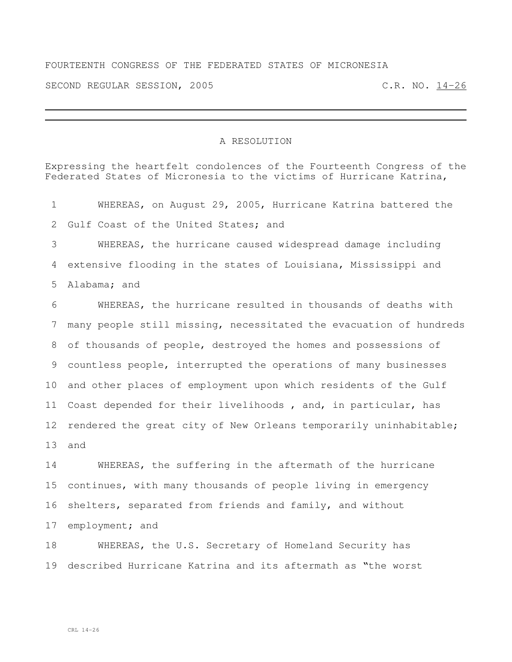## FOURTEENTH CONGRESS OF THE FEDERATED STATES OF MICRONESIA

SECOND REGULAR SESSION, 2005 C.R. NO. 14-26

## A RESOLUTION

Expressing the heartfelt condolences of the Fourteenth Congress of the Federated States of Micronesia to the victims of Hurricane Katrina, WHEREAS, on August 29, 2005, Hurricane Katrina battered the Gulf Coast of the United States; and WHEREAS, the hurricane caused widespread damage including extensive flooding in the states of Louisiana, Mississippi and Alabama; and WHEREAS, the hurricane resulted in thousands of deaths with many people still missing, necessitated the evacuation of hundreds of thousands of people, destroyed the homes and possessions of countless people, interrupted the operations of many businesses and other places of employment upon which residents of the Gulf Coast depended for their livelihoods , and, in particular, has rendered the great city of New Orleans temporarily uninhabitable; and WHEREAS, the suffering in the aftermath of the hurricane

 continues, with many thousands of people living in emergency shelters, separated from friends and family, and without employment; and

 WHEREAS, the U.S. Secretary of Homeland Security has described Hurricane Katrina and its aftermath as "the worst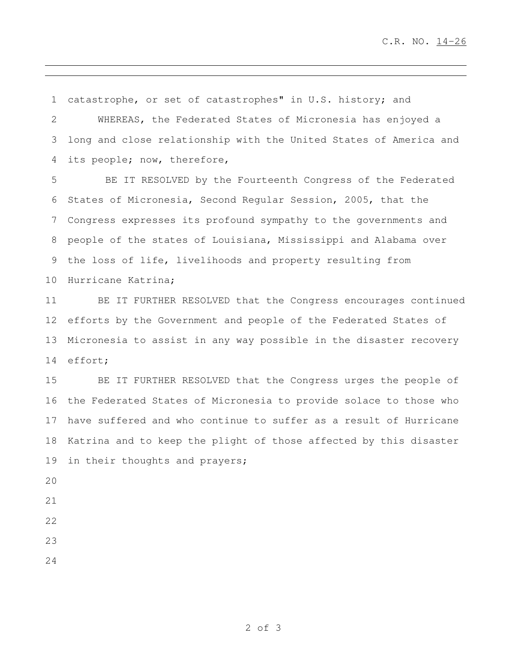catastrophe, or set of catastrophes" in U.S. history; and

 WHEREAS, the Federated States of Micronesia has enjoyed a long and close relationship with the United States of America and its people; now, therefore,

 BE IT RESOLVED by the Fourteenth Congress of the Federated States of Micronesia, Second Regular Session, 2005, that the Congress expresses its profound sympathy to the governments and people of the states of Louisiana, Mississippi and Alabama over the loss of life, livelihoods and property resulting from Hurricane Katrina;

 BE IT FURTHER RESOLVED that the Congress encourages continued efforts by the Government and people of the Federated States of Micronesia to assist in any way possible in the disaster recovery effort;

 BE IT FURTHER RESOLVED that the Congress urges the people of the Federated States of Micronesia to provide solace to those who have suffered and who continue to suffer as a result of Hurricane Katrina and to keep the plight of those affected by this disaster 19 in their thoughts and prayers;

- 
- 
- 
- 
-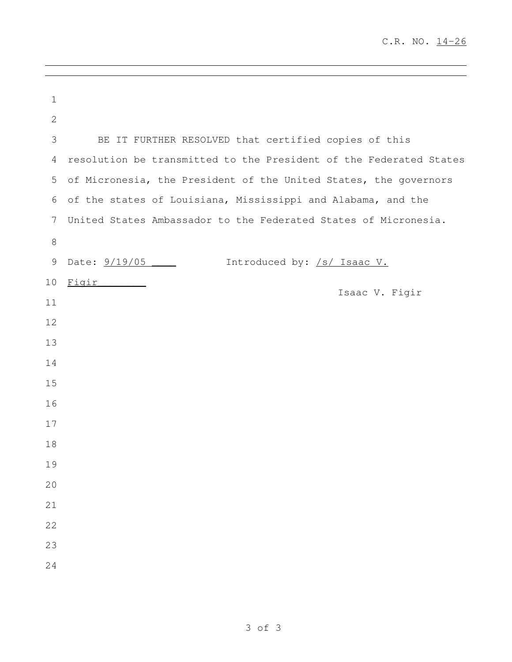| $\mathbf 1$    |                                                                    |
|----------------|--------------------------------------------------------------------|
| $\mathbf{2}$   |                                                                    |
| $\mathfrak{Z}$ | BE IT FURTHER RESOLVED that certified copies of this               |
| 4              | resolution be transmitted to the President of the Federated States |
| 5              | of Micronesia, the President of the United States, the governors   |
| 6              | of the states of Louisiana, Mississippi and Alabama, and the       |
| 7              | United States Ambassador to the Federated States of Micronesia.    |
| $\,8\,$        |                                                                    |
| 9              | Date: $9/19/05$ _______<br>Introduced by: /s/ Isaac V.             |
| 10             | <u>Figir</u>                                                       |
| 11             | Isaac V. Figir                                                     |
| 12             |                                                                    |
| 13             |                                                                    |
| 14             |                                                                    |
| 15             |                                                                    |
| 16             |                                                                    |
| 17             |                                                                    |
| 18             |                                                                    |
| 19             |                                                                    |
| 20             |                                                                    |
| 21             |                                                                    |
| 22             |                                                                    |
| 23             |                                                                    |
| 24             |                                                                    |